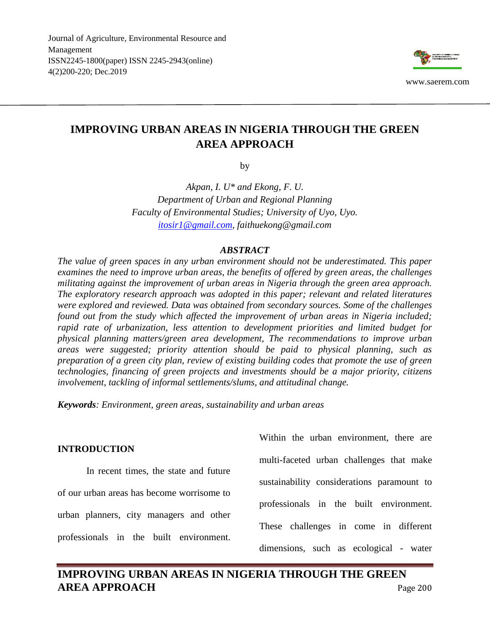Journal of Agriculture, Environmental Resource and Management ISSN2245-1800(paper) ISSN 2245-2943(online) 4(2)200-220; Dec.2019



# **IMPROVING URBAN AREAS IN NIGERIA THROUGH THE GREEN AREA APPROACH**

by

*Akpan, I. U\* and Ekong, F. U. Department of Urban and Regional Planning Faculty of Environmental Studies; University of Uyo, Uyo. [itosir1@gmail.com,](mailto:itosir1@gmail.com) faithuekong@gmail.com*

## *ABSTRACT*

*The value of green spaces in any urban environment should not be underestimated. This paper examines the need to improve urban areas, the benefits of offered by green areas, the challenges militating against the improvement of urban areas in Nigeria through the green area approach. The exploratory research approach was adopted in this paper; relevant and related literatures were explored and reviewed. Data was obtained from secondary sources. Some of the challenges found out from the study which affected the improvement of urban areas in Nigeria included; rapid rate of urbanization, less attention to development priorities and limited budget for physical planning matters/green area development, The recommendations to improve urban areas were suggested; priority attention should be paid to physical planning, such as preparation of a green city plan, review of existing building codes that promote the use of green technologies, financing of green projects and investments should be a major priority, citizens involvement, tackling of informal settlements/slums, and attitudinal change.*

*Keywords: Environment, green areas, sustainability and urban areas*

In recent times, the state and future of our urban areas has become worrisome to urban planners, city managers and other professionals in the built environment.

Within the urban environment, there are multi-faceted urban challenges that make sustainability considerations paramount to professionals in the built environment. These challenges in come in different dimensions, such as ecological - water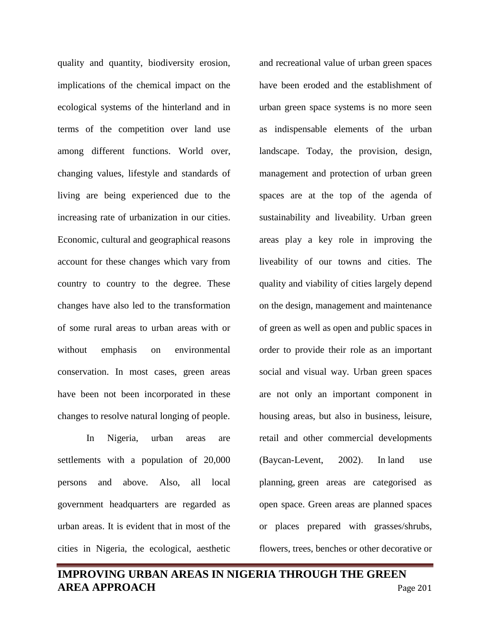quality and quantity, biodiversity erosion, implications of the chemical impact on the ecological systems of the hinterland and in terms of the competition over land use among different functions. World over, changing values, lifestyle and standards of living are being experienced due to the increasing rate of urbanization in our cities. Economic, cultural and geographical reasons account for these changes which vary from country to country to the degree. These changes have also led to the transformation of some rural areas to urban areas with or without emphasis on environmental conservation. In most cases, green areas have been not been incorporated in these changes to resolve natural longing of people.

In Nigeria, urban areas are settlements with a population of 20,000 persons and above. Also, all local government headquarters are regarded as urban areas. It is evident that in most of the cities in Nigeria, the ecological, aesthetic and recreational value of urban green spaces have been eroded and the establishment of urban green space systems is no more seen as indispensable elements of the urban landscape. Today, the provision, design, management and protection of urban green spaces are at the top of the agenda of sustainability and liveability. Urban green areas play a key role in improving the liveability of our towns and cities. The quality and viability of cities largely depend on the design, management and maintenance of green as well as open and public spaces in order to provide their role as an important social and visual way. Urban green spaces are not only an important component in housing areas, but also in business, leisure, retail and other commercial developments (Baycan-Levent, 2002). In [land use](https://en.wikipedia.org/wiki/Land_use_planning)  [planning,](https://en.wikipedia.org/wiki/Land_use_planning) green areas are categorised as open space. Green areas are planned spaces or places prepared with grasses/shrubs, flowers, trees, benches or other decorative or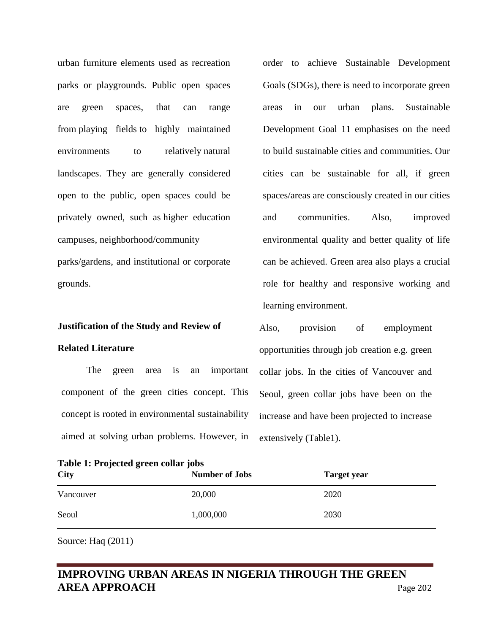urban furniture elements used as recreation parks or playgrounds. Public open spaces are green spaces, that can range from [playing fields](https://en.wikipedia.org/wiki/Playing_field) to highly maintained environments to relatively natural [landscapes.](https://en.wikipedia.org/wiki/Natural_landscape) They are generally considered open to the public, open spaces could be privately owned, such as [higher education](https://en.wikipedia.org/wiki/Campus)  [campuses,](https://en.wikipedia.org/wiki/Campus) [neighborhood/community](https://en.wikipedia.org/wiki/Community_gardening)  [parks/gardens,](https://en.wikipedia.org/wiki/Community_gardening) and institutional or corporate grounds.

#### **Justification of the Study and Review of**

#### **Related Literature**

The green area is an important component of the green cities concept. This concept is rooted in environmental sustainability aimed at solving urban problems. However, in order to achieve Sustainable Development Goals (SDGs), there is need to incorporate green areas in our urban plans. Sustainable Development Goal 11 emphasises on the need to build sustainable cities and communities. Our cities can be sustainable for all, if green spaces/areas are consciously created in our cities and communities. Also, improved environmental quality and better quality of life can be achieved. Green area also plays a crucial role for healthy and responsive working and learning environment.

Also, provision of employment opportunities through job creation e.g. green collar jobs. In the cities of Vancouver and Seoul, green collar jobs have been on the increase and have been projected to increase extensively (Table1).

|  |  |  |  | Table 1: Projected green collar jobs |
|--|--|--|--|--------------------------------------|
|--|--|--|--|--------------------------------------|

| <br>$\bullet$<br><br>City | <b>Number of Jobs</b> | <b>Target year</b> |
|---------------------------|-----------------------|--------------------|
| Vancouver                 | 20,000                | 2020               |
| Seoul                     | 1,000,000             | 2030               |

Source: Haq (2011)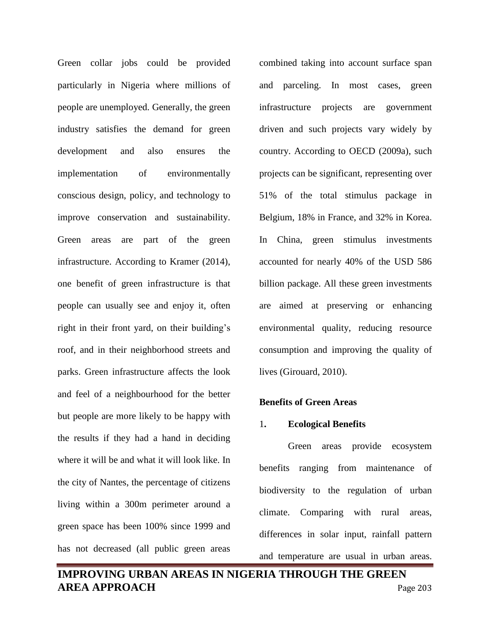Green collar jobs could be provided particularly in Nigeria where millions of people are unemployed. Generally, the green industry satisfies the demand for green development and also ensures the implementation of environmentally conscious design, policy, and technology to improve conservation and sustainability. Green areas are part of the green infrastructure. According to Kramer (2014), one benefit of green infrastructure is that people can usually see and enjoy it, often right in their front yard, on their building's roof, and in their neighborhood streets and parks. Green infrastructure affects the look and feel of a neighbourhood for the better but people are more likely to be happy with the results if they had a hand in deciding where it will be and what it will look like. In the city of Nantes, the percentage of citizens living within a 300m perimeter around a green space has been 100% since 1999 and has not decreased (all public green areas

combined taking into account surface span and parceling. In most cases, green infrastructure projects are government driven and such projects vary widely by country. According to OECD (2009a), such projects can be significant, representing over 51% of the total stimulus package in Belgium, 18% in France, and 32% in Korea. In China, green stimulus investments accounted for nearly 40% of the USD 586 billion package. All these green investments are aimed at preserving or enhancing environmental quality, reducing resource consumption and improving the quality of lives (Girouard, 2010).

#### **Benefits of Green Areas**

#### 1**. Ecological Benefits**

Green areas provide ecosystem benefits ranging from maintenance of biodiversity to the regulation of urban climate. Comparing with rural areas, differences in solar input, rainfall pattern and temperature are usual in urban areas.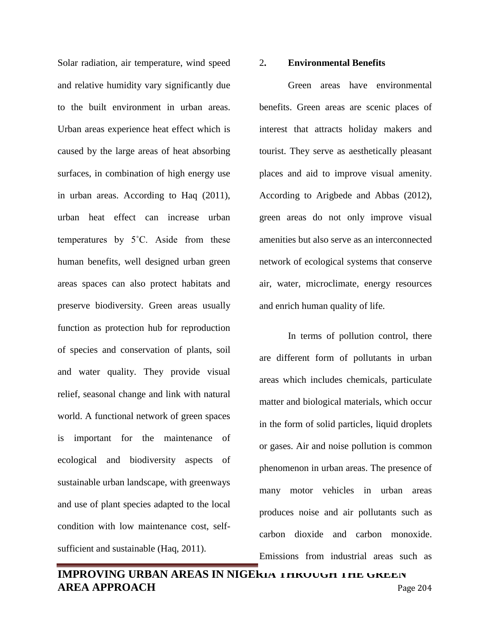Solar radiation, air temperature, wind speed and relative humidity vary significantly due to the built environment in urban areas. Urban areas experience heat effect which is caused by the large areas of heat absorbing surfaces, in combination of high energy use in urban areas. According to Haq (2011), urban heat effect can increase urban temperatures by 5˚C. Aside from these human benefits, well designed urban green areas spaces can also protect habitats and preserve biodiversity. Green areas usually function as protection hub for reproduction of species and conservation of plants, soil and water quality. They provide visual relief, seasonal change and link with natural world. A functional network of green spaces is important for the maintenance of ecological and biodiversity aspects of sustainable urban landscape, with greenways and use of plant species adapted to the local condition with low maintenance cost, selfsufficient and sustainable (Haq, 2011).

#### 2**. Environmental Benefits**

Green areas have environmental benefits. Green areas are scenic places of interest that attracts holiday makers and tourist. They serve as aesthetically pleasant places and aid to improve visual amenity. According to Arigbede and Abbas (2012), green areas do not only improve visual amenities but also serve as an interconnected network of ecological systems that conserve air, water, microclimate, energy resources and enrich human quality of life.

In terms of pollution control, there are different form of pollutants in urban areas which includes chemicals, particulate matter and biological materials, which occur in the form of solid particles, liquid droplets or gases. Air and noise pollution is common phenomenon in urban areas. The presence of many motor vehicles in urban areas produces noise and air pollutants such as carbon dioxide and carbon monoxide. Emissions from industrial areas such as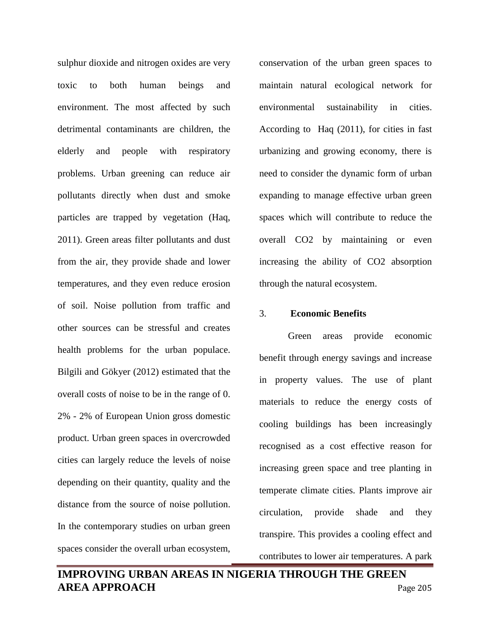sulphur dioxide and nitrogen oxides are very toxic to both human beings and environment. The most affected by such detrimental contaminants are children, the elderly and people with respiratory problems. Urban greening can reduce air pollutants directly when dust and smoke particles are trapped by vegetation (Haq, 2011). Green areas filter pollutants and dust from the air, they provide shade and lower temperatures, and they even reduce erosion of soil. Noise pollution from traffic and other sources can be stressful and creates health problems for the urban populace. Bilgili and Gökyer (2012) estimated that the overall costs of noise to be in the range of 0. 2% - 2% of European Union gross domestic product. Urban green spaces in overcrowded cities can largely reduce the levels of noise depending on their quantity, quality and the distance from the source of noise pollution. In the contemporary studies on urban green spaces consider the overall urban ecosystem,

conservation of the urban green spaces to maintain natural ecological network for environmental sustainability in cities. According to Haq (2011), for cities in fast urbanizing and growing economy, there is need to consider the dynamic form of urban expanding to manage effective urban green spaces which will contribute to reduce the overall CO2 by maintaining or even increasing the ability of CO2 absorption through the natural ecosystem.

#### 3. **Economic Benefits**

Green areas provide economic benefit through energy savings and increase in property values. The use of plant materials to reduce the energy costs of cooling buildings has been increasingly recognised as a cost effective reason for increasing green space and tree planting in temperate climate cities. Plants improve air circulation, provide shade and they transpire. This provides a cooling effect and contributes to lower air temperatures. A park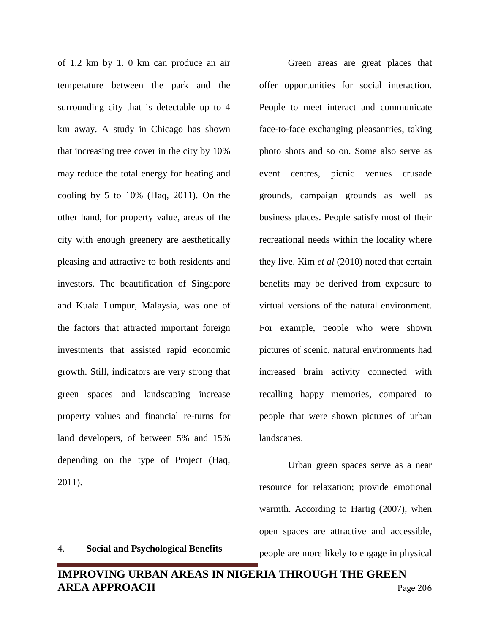of 1.2 km by 1. 0 km can produce an air temperature between the park and the surrounding city that is detectable up to 4 km away. A study in Chicago has shown that increasing tree cover in the city by 10% may reduce the total energy for heating and cooling by 5 to 10% (Haq, 2011). On the other hand, for property value, areas of the city with enough greenery are aesthetically pleasing and attractive to both residents and investors. The beautification of Singapore and Kuala Lumpur, Malaysia, was one of the factors that attracted important foreign investments that assisted rapid economic growth. Still, indicators are very strong that green spaces and landscaping increase property values and financial re-turns for land developers, of between 5% and 15% depending on the type of Project (Haq, 2011).

4. **Social and Psychological Benefits**

Green areas are great places that offer opportunities for social interaction. People to meet interact and communicate face-to-face exchanging pleasantries, taking photo shots and so on. Some also serve as event centres, picnic venues crusade grounds, campaign grounds as well as business places. People satisfy most of their recreational needs within the locality where they live. Kim *et al* (2010) noted that certain benefits may be derived from exposure to virtual versions of the natural environment. For example, people who were shown pictures of scenic, natural environments had increased brain activity connected with recalling happy memories, compared to people that were shown pictures of urban landscapes.

Urban green spaces serve as a near resource for relaxation; provide emotional warmth. According to Hartig (2007), when open spaces are attractive and accessible, people are more likely to engage in physical

# **IMPROVING URBAN AREAS IN NIGERIA THROUGH THE GREEN AREA APPROACH** Page 206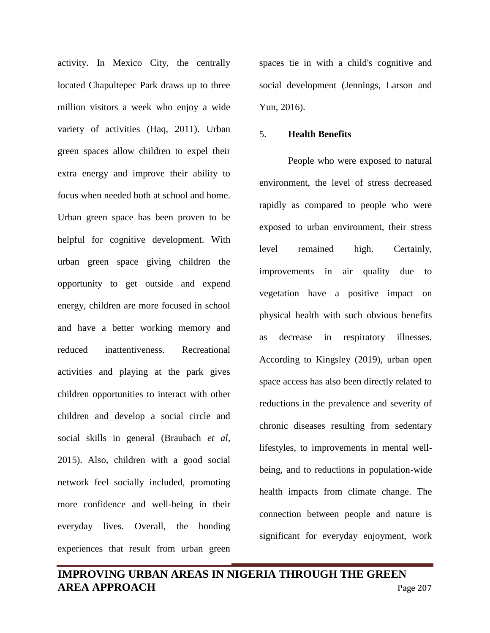activity. In Mexico City, the centrally located Chapultepec Park draws up to three million visitors a week who enjoy a wide variety of activities (Haq, 2011). Urban green spaces allow children to expel their extra energy and improve their ability to focus when needed both at school and home. Urban green space has been proven to be helpful for cognitive development. With urban green space giving children the opportunity to get outside and expend energy, children are more focused in school and have a better working memory and reduced inattentiveness. Recreational activities and playing at the park gives children opportunities to interact with other children and develop a social circle and social skills in general (Braubach *et al,*  2015). Also, children with a good social network feel socially included, promoting more confidence and well-being in their everyday lives. Overall, the bonding experiences that result from urban green

spaces tie in with a child's cognitive and social development (Jennings, Larson and Yun, 2016).

#### 5. **Health Benefits**

People who were exposed to natural environment, the level of stress decreased rapidly as compared to people who were exposed to urban environment, their stress level remained high. Certainly, improvements in air quality due to vegetation have a positive impact on physical health with such obvious benefits as decrease in respiratory illnesses. According to Kingsley (2019), urban open space access has also been directly related to reductions in the prevalence and severity of chronic diseases resulting from sedentary lifestyles, to improvements in mental wellbeing, and to reductions in population-wide health impacts from climate change. The connection between people and nature is significant for everyday enjoyment, work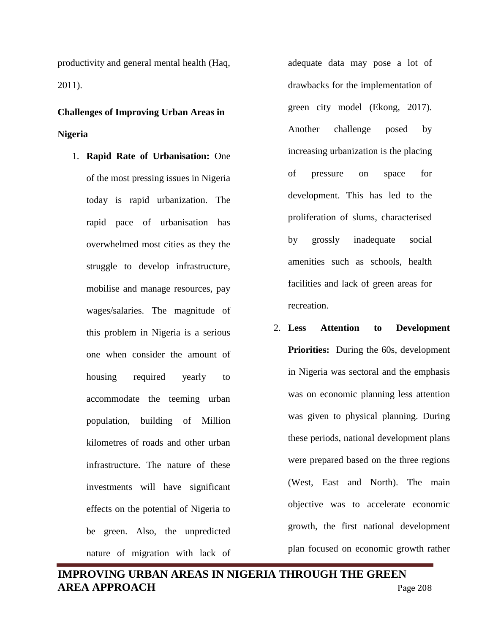productivity and general mental health (Haq, 2011).

# **Challenges of Improving Urban Areas in Nigeria**

1. **Rapid Rate of Urbanisation:** One of the most pressing issues in Nigeria today is rapid urbanization. The rapid pace of urbanisation has overwhelmed most cities as they the struggle to develop infrastructure, mobilise and manage resources, pay wages/salaries. The magnitude of this problem in Nigeria is a serious one when consider the amount of housing required yearly to accommodate the teeming urban population, building of Million kilometres of roads and other urban infrastructure. The nature of these investments will have significant effects on the potential of Nigeria to be green. Also, the unpredicted nature of migration with lack of

adequate data may pose a lot of drawbacks for the implementation of green city model (Ekong, 2017). Another challenge posed by increasing urbanization is the placing of pressure on space for development. This has led to the proliferation of slums, characterised by grossly inadequate social amenities such as schools, health facilities and lack of green areas for recreation.

2. **Less Attention to Development Priorities:** During the 60s, development in Nigeria was sectoral and the emphasis was on economic planning less attention was given to physical planning. During these periods, national development plans were prepared based on the three regions (West, East and North). The main objective was to accelerate economic growth, the first national development plan focused on economic growth rather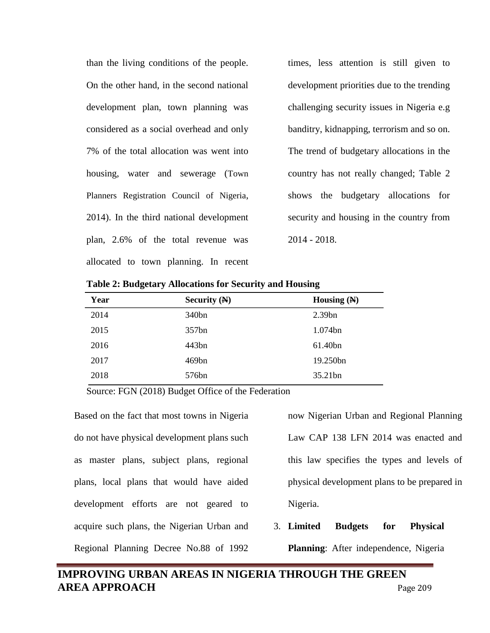than the living conditions of the people. On the other hand, in the second national development plan, town planning was considered as a social overhead and only 7% of the total allocation was went into housing, water and sewerage (Town Planners Registration Council of Nigeria, 2014). In the third national development plan, 2.6% of the total revenue was allocated to town planning. In recent times, less attention is still given to development priorities due to the trending challenging security issues in Nigeria e.g banditry, kidnapping, terrorism and so on. The trend of budgetary allocations in the country has not really changed; Table 2 shows the budgetary allocations for security and housing in the country from 2014 - 2018.

| Year | Security $(N)$ | Housing $(N)$ |
|------|----------------|---------------|
| 2014 | 340bn          | 2.39bn        |
| 2015 | 357bn          | 1.074bn       |
| 2016 | 443bn          | 61.40bn       |
| 2017 | 469bn          | 19.250bn      |
| 2018 | 576bn          | 35.21bn       |

**Table 2: Budgetary Allocations for Security and Housing**

Source: FGN (2018) Budget Office of the Federation

Based on the fact that most towns in Nigeria do not have physical development plans such as master plans, subject plans, regional plans, local plans that would have aided development efforts are not geared to acquire such plans, the Nigerian Urban and Regional Planning Decree No.88 of 1992

now Nigerian Urban and Regional Planning Law CAP 138 LFN 2014 was enacted and this law specifies the types and levels of physical development plans to be prepared in Nigeria.

3. **Limited Budgets for Physical Planning**: After independence, Nigeria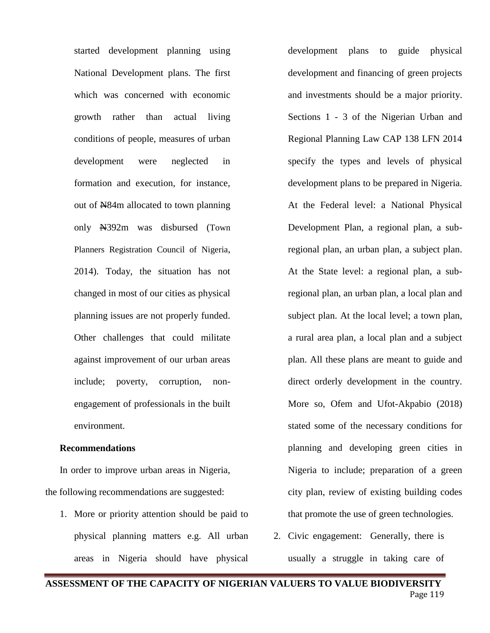started development planning using National Development plans. The first which was concerned with economic growth rather than actual living conditions of people, measures of urban development were neglected in formation and execution, for instance, out of N84m allocated to town planning only N392m was disbursed (Town Planners Registration Council of Nigeria, 2014). Today, the situation has not changed in most of our cities as physical planning issues are not properly funded. Other challenges that could militate against improvement of our urban areas include; poverty, corruption, nonengagement of professionals in the built environment.

## **Recommendations**

In order to improve urban areas in Nigeria, the following recommendations are suggested:

1. More or priority attention should be paid to physical planning matters e.g. All urban areas in Nigeria should have physical

development plans to guide physical development and financing of green projects and investments should be a major priority. Sections 1 - 3 of the Nigerian Urban and Regional Planning Law CAP 138 LFN 2014 specify the types and levels of physical development plans to be prepared in Nigeria. At the Federal level: a National Physical Development Plan, a regional plan, a subregional plan, an urban plan, a subject plan. At the State level: a regional plan, a subregional plan, an urban plan, a local plan and subject plan. At the local level; a town plan, a rural area plan, a local plan and a subject plan. All these plans are meant to guide and direct orderly development in the country. More so, Ofem and Ufot-Akpabio (2018) stated some of the necessary conditions for planning and developing green cities in Nigeria to include; preparation of a green city plan, review of existing building codes that promote the use of green technologies.

2. Civic engagement: Generally, there is usually a struggle in taking care of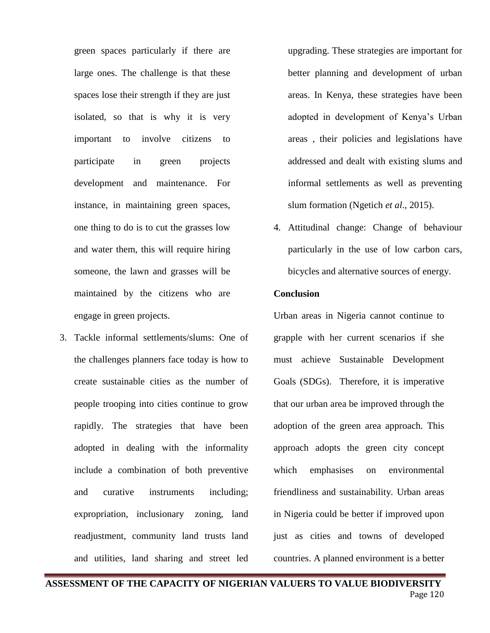green spaces particularly if there are large ones. The challenge is that these spaces lose their strength if they are just isolated, so that is why it is very important to involve citizens to participate in green projects development and maintenance. For instance, in maintaining green spaces, one thing to do is to cut the grasses low and water them, this will require hiring someone, the lawn and grasses will be maintained by the citizens who are engage in green projects.

3. Tackle informal settlements/slums: One of the challenges planners face today is how to create sustainable cities as the number of people trooping into cities continue to grow rapidly. The strategies that have been adopted in dealing with the informality include a combination of both preventive and curative instruments including; expropriation, inclusionary zoning, land readjustment, community land trusts land and utilities, land sharing and street led

upgrading. These strategies are important for better planning and development of urban areas. In Kenya, these strategies have been adopted in development of Kenya's Urban areas , their policies and legislations have addressed and dealt with existing slums and informal settlements as well as preventing slum formation (Ngetich *et al*., 2015).

4. Attitudinal change: Change of behaviour particularly in the use of low carbon cars, bicycles and alternative sources of energy.

## **Conclusion**

Urban areas in Nigeria cannot continue to grapple with her current scenarios if she must achieve Sustainable Development Goals (SDGs). Therefore, it is imperative that our urban area be improved through the adoption of the green area approach. This approach adopts the green city concept which emphasises on environmental friendliness and sustainability. Urban areas in Nigeria could be better if improved upon just as cities and towns of developed countries. A planned environment is a better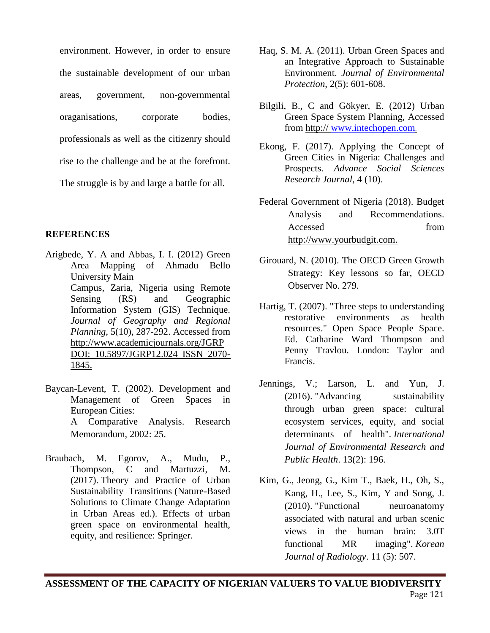environment. However, in order to ensure the sustainable development of our urban areas, government, non-governmental oraganisations, corporate bodies, professionals as well as the citizenry should rise to the challenge and be at the forefront. The struggle is by and large a battle for all.

# **REFERENCES**

- Arigbede, Y. A and Abbas, I. I. (2012) Green Area Mapping of Ahmadu Bello University Main Campus, Zaria, Nigeria using Remote Sensing (RS) and Geographic Information System (GIS) Technique. *Journal of Geography and Regional Planning*, 5(10), 287-292. Accessed from http://www.academicjournals.org/JGRP DOI: 10.5897/JGRP12.024 ISSN 2070- 1845.
- Baycan-Levent, T. (2002). Development and Management of Green Spaces in European Cities: A Comparative Analysis. Research Memorandum, 2002: 25.
- Braubach, M. Egorov, A., Mudu, P., Thompson, C and Martuzzi, M. (2017). [Theory and Practice of Urban](https://link.springer.com/chapter/10.1007/978-3-319-56091-5_11#citeas)  [Sustainability Transitions](https://link.springer.com/chapter/10.1007/978-3-319-56091-5_11#citeas) (Nature-Based Solutions to Climate Change Adaptation in Urban Areas ed.). Effects of urban green space on environmental health, equity, and resilience: Springer.
- Haq, S. M. A. (2011). Urban Green Spaces and an Integrative Approach to Sustainable Environment. *Journal of Environmental Protection*, 2(5): 601-608.
- Bilgili, B., C and Gökyer, E. (2012) Urban Green Space System Planning, Accessed from http:// [www.intechopen.com](http://www.intechopen.com/).
- Ekong, F. (2017). Applying the Concept of Green Cities in Nigeria: Challenges and Prospects. *Advance Social Sciences Research Journal*, 4 (10).
- Federal Government of Nigeria (2018). Budget Analysis and Recommendations. Accessed from http://www.yourbudgit.com.
- Girouard, N. (2010). The OECD Green Growth Strategy: Key lessons so far, OECD Observer No. 279.
- Hartig, T. (2007). "Three steps to understanding restorative environments as health resources." Open Space People Space. Ed. Catharine Ward Thompson and Penny Travlou. London: Taylor and Francis.
- Jennings, V.; Larson, L. and Yun, J.  $(2016)$ . "Advancing sustainability [through urban green space: cultural](https://www.ncbi.nlm.nih.gov/pubmed/26861365)  [ecosystem services, equity, and social](https://www.ncbi.nlm.nih.gov/pubmed/26861365)  [determinants of health".](https://www.ncbi.nlm.nih.gov/pubmed/26861365) *International Journal of Environmental Research and Public Health*. 13(2): 196.
- Kim, G., Jeong, G., Kim T., Baek, H., Oh, S., Kang, H., Lee, S., Kim, Y and Song, J. (2010). ["Functional neuroanatomy](https://www.ncbi.nlm.nih.gov/pmc/articles/PMC2930158)  associated with [natural and urban scenic](https://www.ncbi.nlm.nih.gov/pmc/articles/PMC2930158)  [views in the human brain: 3.0T](https://www.ncbi.nlm.nih.gov/pmc/articles/PMC2930158)  [functional MR imaging".](https://www.ncbi.nlm.nih.gov/pmc/articles/PMC2930158) *Korean Journal of Radiology*. 11 (5): 507.